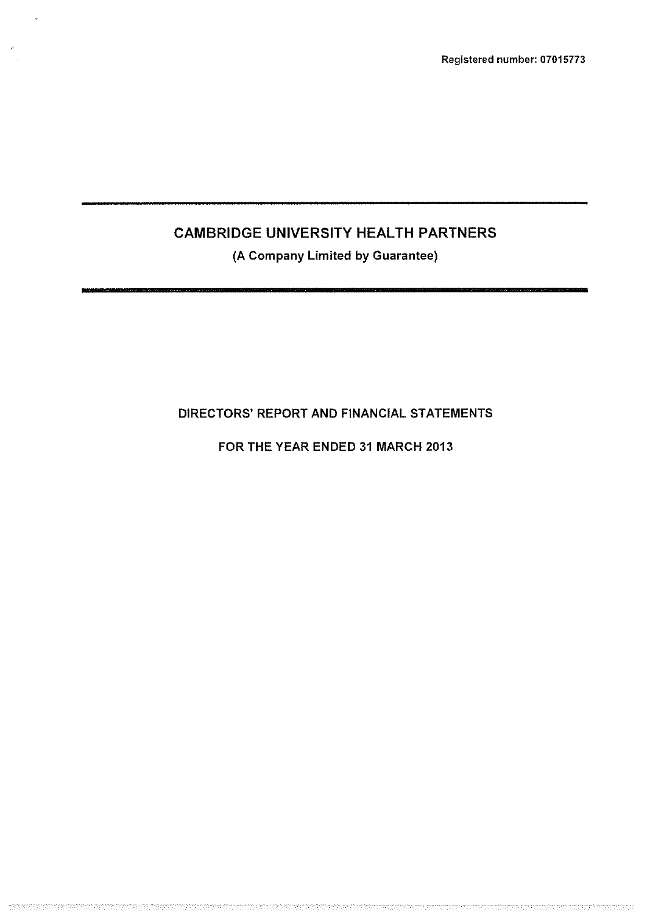Registered number: 07015773

# CAMBRIDGE UNIVERSITY HEALTH PARTNERS

(A Company Limited by Guarantee)

DIRECTORS' REPORT AND FINANCIAL STATEMENTS

FOR THE YEAR ENDED 31 MARCH 2013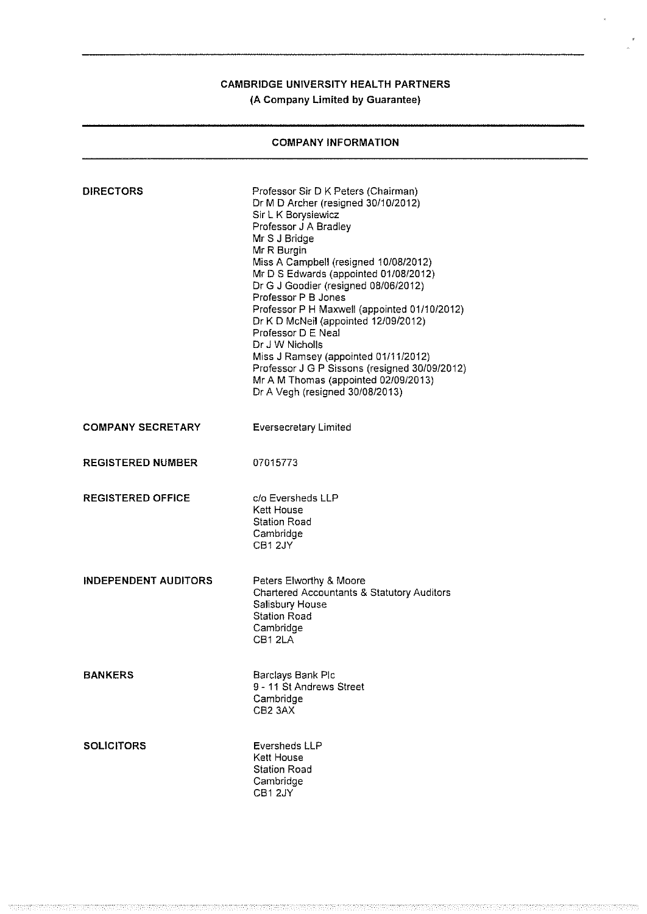$\varphi$ 

(A Company Limited by Guarantee)

# COMPANY INFORMATION

| <b>DIRECTORS</b>            | Professor Sir D K Peters (Chairman)<br>Dr M D Archer (resigned 30/10/2012)<br>Sir L K Borysiewicz<br>Professor J A Bradley<br>Mr S J Bridge<br>Mr R Burgin<br>Miss A Campbell (resigned 10/08/2012)<br>Mr D S Edwards (appointed 01/08/2012)<br>Dr G J Goodier (resigned 08/06/2012)<br>Professor P B Jones<br>Professor P H Maxwell (appointed 01/10/2012)<br>Dr K D McNeil (appointed 12/09/2012)<br>Professor D E Neal<br>Dr J W Nicholls<br>Miss J Ramsey (appointed 01/11/2012)<br>Professor J G P Sissons (resigned 30/09/2012)<br>Mr A M Thomas (appointed 02/09/2013)<br>Dr A Vegh (resigned 30/08/2013) |
|-----------------------------|------------------------------------------------------------------------------------------------------------------------------------------------------------------------------------------------------------------------------------------------------------------------------------------------------------------------------------------------------------------------------------------------------------------------------------------------------------------------------------------------------------------------------------------------------------------------------------------------------------------|
| <b>COMPANY SECRETARY</b>    | <b>Eversecretary Limited</b>                                                                                                                                                                                                                                                                                                                                                                                                                                                                                                                                                                                     |
| <b>REGISTERED NUMBER</b>    | 07015773                                                                                                                                                                                                                                                                                                                                                                                                                                                                                                                                                                                                         |
| <b>REGISTERED OFFICE</b>    | c/o Eversheds LLP<br>Kett House<br><b>Station Road</b><br>Cambridge<br>CB12JY                                                                                                                                                                                                                                                                                                                                                                                                                                                                                                                                    |
| <b>INDEPENDENT AUDITORS</b> | Peters Elworthy & Moore<br><b>Chartered Accountants &amp; Statutory Auditors</b><br>Salisbury House<br><b>Station Road</b><br>Cambridge<br>CB1 2LA                                                                                                                                                                                                                                                                                                                                                                                                                                                               |
| <b>BANKERS</b>              | Barclays Bank Plc<br>9 - 11 St Andrews Street<br>Cambridge<br>CB <sub>2</sub> 3AX                                                                                                                                                                                                                                                                                                                                                                                                                                                                                                                                |
| <b>SOLICITORS</b>           | <b>Eversheds LLP</b><br>Kett House<br><b>Station Road</b><br>Cambridge<br>CB1 2JY                                                                                                                                                                                                                                                                                                                                                                                                                                                                                                                                |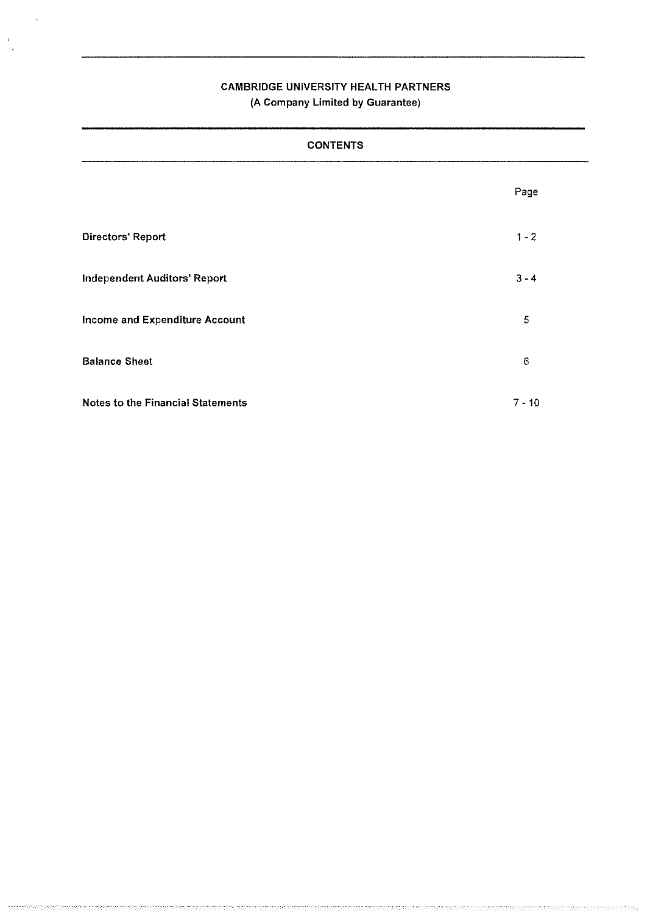$\bar{\mathbf{x}}$ 

 $\bar{b}$ 

| <b>CONTENTS</b> |  |  |  |
|-----------------|--|--|--|
|                 |  |  |  |

|                                          | Page        |
|------------------------------------------|-------------|
| Directors' Report                        | $1 - 2$     |
| <b>Independent Auditors' Report</b>      | $3 - 4$     |
| Income and Expenditure Account           | 5           |
| <b>Balance Sheet</b>                     | $\mathbf 6$ |
| <b>Notes to the Financial Statements</b> | $7 - 10$    |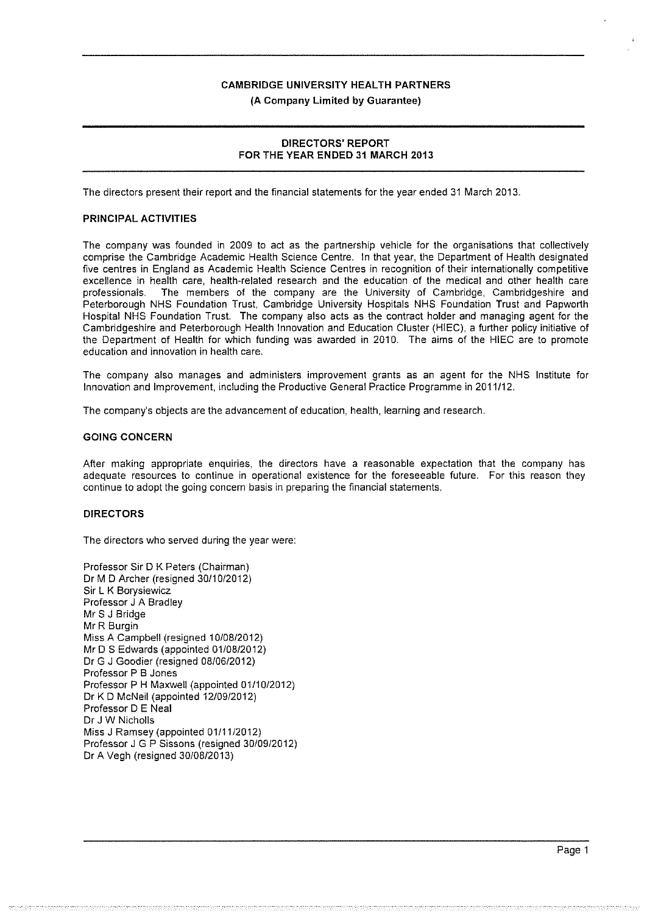(A Company Limited by Guarantee)

## DIRECTORS' REPORT FOR THE YEAR ENDED 31 MARCH 2013

The directors present their report and the financial statements for the year ended 31 March 2013.

#### PRINCIPAL ACTIVITIES

The company was founded in 2009 to act as the partnership vehicle for the organisations that collectively comprise the Cambridge Academic Health Science Centre. In that year, the Department of Health designated five centres in England as Academic Health Science Centres in recognition of their internationally competitive excellence in health care, health-related research and the education of the medical and other health care professionals. The members of the company are the University of Cambridge, Cambridgeshire and Peterborough NHS Foundation Trust, Cambridge University Hospitals NHS Foundation Trust and Papworth Hospital NHS Foundation Trust. The company also acts as the contract holder and managing agent for the Cambridgeshire and Peterborough Health Innovation and Education Cluster (HIEC), a further policy initiative of the Department of Health for which funding was awarded in 2010. The aims of the HIEC are to promote education and innovation in health care,

The company also manages and administers improvement grants as an agent for the NHS Institute for Innovation and Improvement, including the Productive General Practice Programme in 2011/12.

The company's objects are the advancement of education, health, learning and research.

#### GOING CONCERN

After making appropriate enquiries, the directors have a reasonable expectation that the company has adequate resources to continue in operational existence for the foreseeable future, For this reason they continue to adopt the going concern basis in preparing the financial statements.

#### DIRECTORS

The directors who served during the year were:

Professor Sir D <sup>K</sup> Peters (Chairman) Dr <sup>M</sup> D Archer (resigned 30/10/2012) Sir <sup>L</sup> K Borysiewicz Professor J A Bradley Mr S J Bridge Mr R Burgin Miss A Campbell (resigned 10/08/2012) Mr D S Edwards (appointed 01/08/2012) Dr G J Goodier (resigned 08/06/2012) Professor P <sup>B</sup> Jones Professor P H Maxwell (appointed 01/10/2012) Dr <sup>K</sup> D McNeil (appointed 12/09/2012) Professor D E Neal Dr J W Nicholls Miss J Ramsey (appointed 01/11/2012) Professor J G P Sissons (resigned 30/09/2012) Dr A Vegh (resigned 30/08/2013)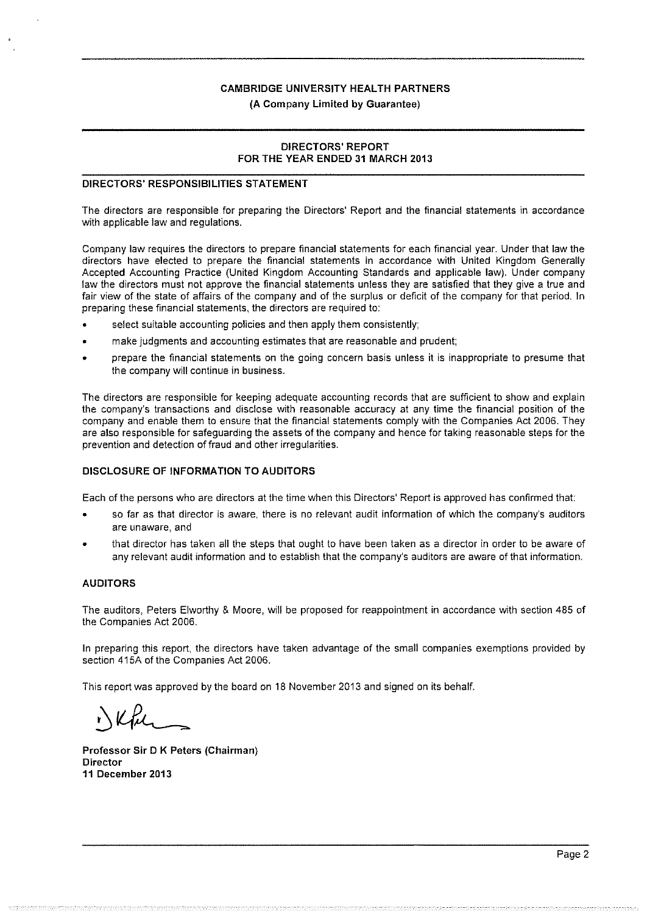(A Company Limited by Guarantee)

## DIRECTORS' REPORT FOR THE YEAR ENDED 31 MARCH 2013

#### DIRECTORS' RESPONSIBILITIES STATEMENT

The directors are responsible for preparing the Directors' Report and the financial statements in accordance with applicable law and regulations.

Company law requires the directors to prepare financial statements for each financial year. Under that law the directors have elected to prepare the financial statements in accordance with United Kingdom Generally Accepted Accounting Practice (United Kingdom Accounting Standards and applicable law). Under company law the directors must not approve the financial statements unless they are satisfied that they give a true and fair view of the state of affairs of the company and of the surplus or deficit of the company for that period. In preparing these financial statements, the directors are required to:

- select suitable accounting policies and then apply them consistently;
- make judgments and accounting estimates that are reasonable and prudent;
- prepare the financial statements on the going concern basis unless it is inappropriate to presume that the company will continue in business,

The directors are responsible for keeping adequate accounting records that are sufficient to show and explain the company's transactions and disclose with reasonable accuracy at any time the financial position of the company and enable them to ensure that the financial statements comply with the Companies Act 2006. They are also responsible for safeguarding the assets of the company and hence for taking reasonable steps for the prevention and detection of fraud and other irregularities.

## DISCLOSURE OF INFORMATION TO AUDITORS

Each of the persons who are directors at the time when this Directors' Report is approved has confirmed that:

- so far as that director is aware, there is no relevant audit information of which the company's auditors are unaware, and
- that director has taken all the steps that ought to have been taken as a director in order to be aware of any relevant audit information and to establish that the company's auditors are aware of that information,

#### AUDITORS

The auditors, Peters Elworthy & Moore, will be proposed for reappointment in accordance with section 485 of the Companies Act 2006.

In preparing this report, the directors have taken advantage of the small companies exemptions provided by section 415A of the Companies Act 2006.

This report was approved by the board on 18 November 2013 and signed on its behalf.

Khi

Professor Sir <sup>D</sup> <sup>K</sup> Peters (Chairman) Director 11 December 2013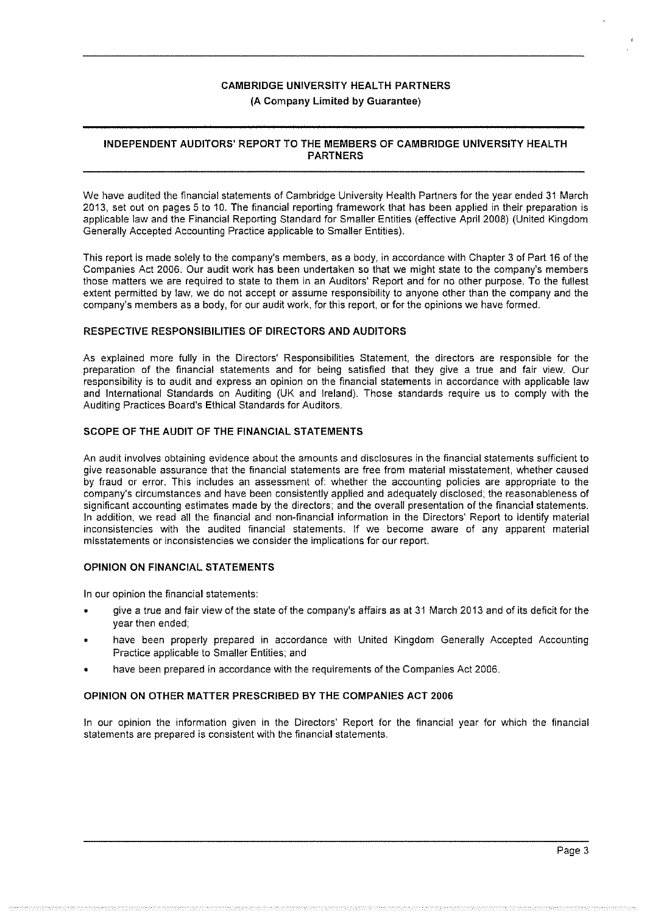# INDEPENDENT AUDITORS' REPORT TO THE MEMBERS OF CAMBRIDGE UNIVERSITY HEALTH PARTNERS

We have audited the financial statements of Cambridge University Health Partners for the year ended <sup>31</sup> March 2013, set out on pages 5 to 10. The financial reporting framework that has been applied in their preparation is applicable law and the Financial Reporting Standard for Smaller Entities (effective April 2008) (United Kingdom Generally Accepted Accounting Practice applicable to Smaller Entities).

This report is made solely to the company's members, as a body, in accordance with Chapter 3 of Part 16 of the Companies Act 2006, Our audit work has been undertaken so that we might state to the company's members those matters we are required to state to them in an Auditors' Report and for no other purpose. To the fullest extent permitted by law, we do not accept or assume responsibility to anyone other than the company and the company's members as a body, for our audit work, for this report, or for the opinions we have formed.

#### RESPECTIVE RESPONSIBILITIES OF DIRECTORS AND AUDITORS

As explained more fully in the Directors' Responsibilities Statement, the directors are responsible for the preparation of the financial statements and for being satisfied that they give a true and fair view. Our responsibility is to audit and express an opinion on the financial statements in accordance with applicable law and International Standards on Auditing (UK and Ireland). Those standards require us to comply with the Auditing Practices Board's Ethical Standards for Auditors.

#### SCOPE OF THE AUDIT OF THE FINANCIAL STATEMENTS

An audit involves obtaining evidence about the amounts and disclosures in the financial statements sufficient to give reasonable assurance that the financial statements are free from material misstatement, whether caused by fraud or error. This includes an assessment of: whether the accounting policies are appropriate to the company's circumstances and have been consistently applied and adequately disclosed; the reasonableness of significant accounting estimates made by the directors; and the overall presentation of the financial statements. In addition, we read all the financial and non-financial information in the Directors' Report to identify material inconsistencies with the audited financial statements. If we become aware of any apparent material misstatements or inconsistencies we consider the implications for our report.

#### OPINION ON FINANCIAL STATEMENTS

In our opinion the financial statements:

- give a true and fair view of the state of the company's affairs as at 31 March 2013 and of its deficit for the year then ended;
- have been properly prepared in accordance with United Kingdom Generally Accepted Accounting Practice applicable to Smaller Entities; and
- have been prepared in accordance with the requirements of the Companies Act 2006.

#### OPINION ON OTHER MATTER PRESCRIBED BY THE COMPANIES ACT 2006

In our opinion the information given in the Directors' Report for the financial year for which the financial statements are prepared is consistent with the financial statements.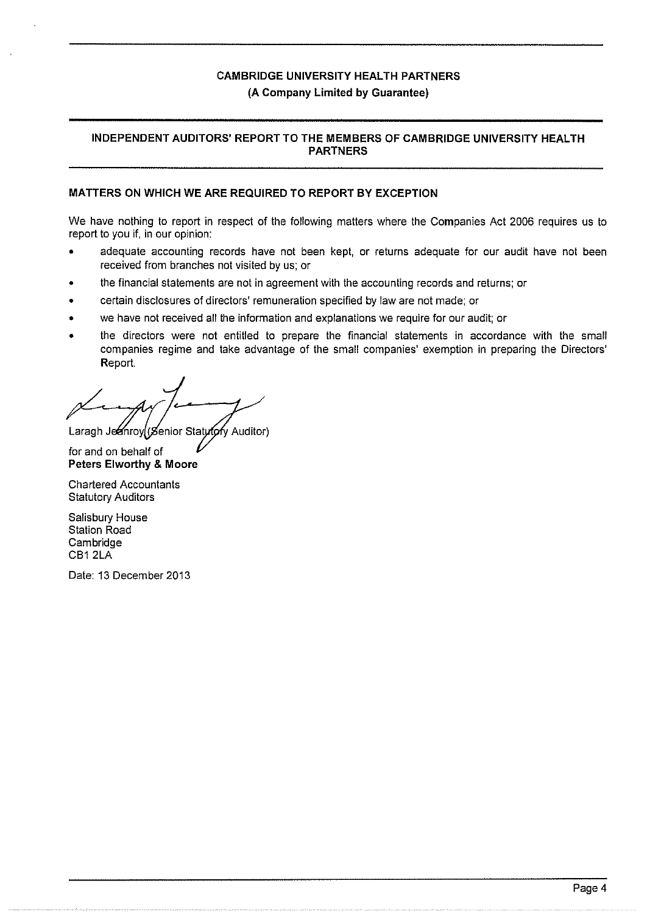# INDEPENDENT AUDITORS' REPORT TO THE MEMBERS OF CAMBRIDGE UNIVERSITY HEALTH PARTNERS

# MATTERS ON WHICH WE ARE REQUIRED TO REPORT BY EXCEPTION

We have nothing to report in respect of the following matters where the Companies Act 2006 requires us to report to you if, in our opinion:

- adequate accounting records have not been kept, or returns adequate for our audit have not been received from branches not visited by us; or
- the financial statements are not in agreement with the accounting records and returns; or
- certain disclosures of directors' remuneration specified by law are not made; or
- we have not received all the information and explanations we require for our audit; or
- the directors were not entitled to prepare the financial statements in accordance with the small companies regime and take advantage of the small companies' exemption in preparing the Directors' Report.

Laragh Jeanroy (Senior Statutory Auditor)

for and on behalf of Peters Elworthy & Moore

Chartered Accountants Statutory Auditors

Salisbury House Station Road Cambridge CB1 2LA

Date: 13 December 2013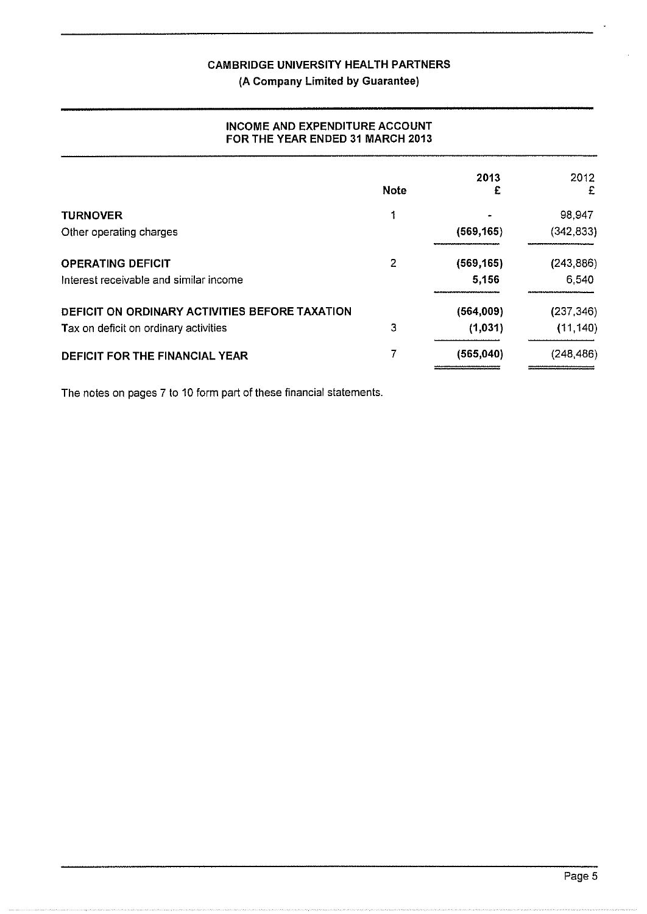# INCOME AND EXPENDITURE ACCOUNT FOR THE YEAR ENDED 31 MARCH 2013

|                                                | <b>Note</b> | 2013<br>£  | 2012<br>£  |
|------------------------------------------------|-------------|------------|------------|
| <b>TURNOVER</b>                                | 1           |            | 98,947     |
| Other operating charges                        |             | (569, 165) | (342, 833) |
| <b>OPERATING DEFICIT</b>                       | 2           | (569, 165) | (243, 886) |
| Interest receivable and similar income         |             | 5,156      | 6,540      |
| DEFICIT ON ORDINARY ACTIVITIES BEFORE TAXATION |             | (564,009)  | (237, 346) |
| Tax on deficit on ordinary activities          | 3           | (1,031)    | (11, 140)  |
| DEFICIT FOR THE FINANCIAL YEAR                 | 7           | (565,040)  | (248, 486) |

The notes on pages <sup>7</sup> to 10 form part of these financial statements.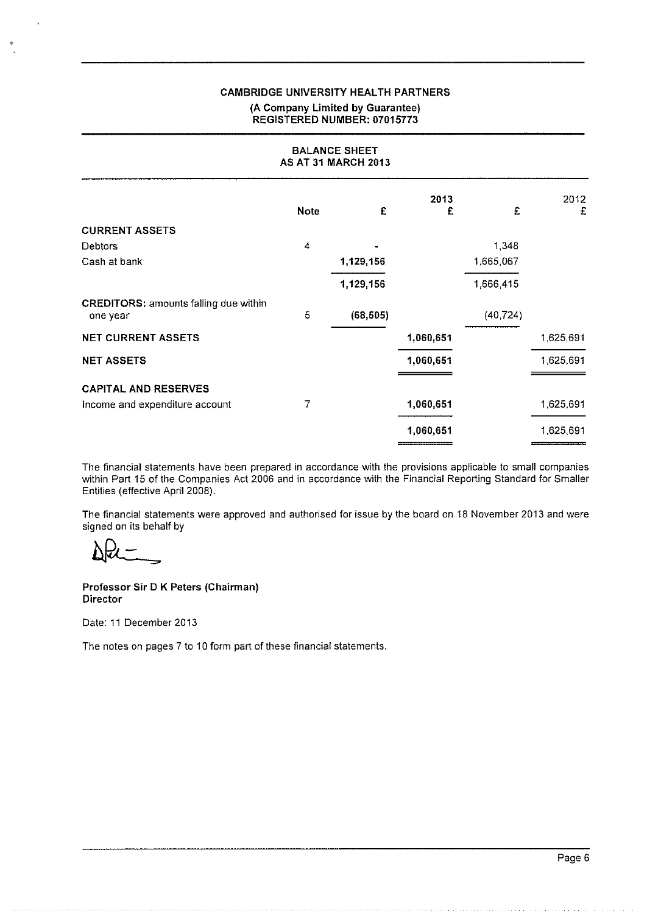# CAMBRIDGE UNIVERSITY HEALTH PARTNERS (A Company Limited by Guarantee) REGISTERED NUMBER: 07015773

| <b>BALANCE SHEET</b><br><b>AS AT 31 MARCH 2013</b> |           |           |           |            |
|----------------------------------------------------|-----------|-----------|-----------|------------|
| <b>Note</b>                                        |           | 2013<br>£ |           | 2012<br>£  |
|                                                    |           |           |           |            |
| 4                                                  |           |           |           |            |
|                                                    | 1,129,156 |           | 1,665,067 |            |
|                                                    | 1,129,156 |           | 1,666,415 |            |
| 5                                                  | (68, 505) |           | (40, 724) |            |
|                                                    |           | 1,060,651 |           | 1,625,691  |
|                                                    |           | 1,060,651 |           | 1,625,691  |
|                                                    |           |           |           |            |
| 7                                                  |           | 1,060,651 |           | 1,625,691  |
|                                                    |           | 1,060,651 |           | 1,625,691  |
|                                                    |           | £         |           | £<br>1,348 |

The financial statements have been prepared in accordance with the provisions applicable to small companies within Part 15 of the Companies Act 2006 and in accordance with the Financial Reporting Standard for Smaller Entities (effective April 2008).

The financial statements were approved and authorised for issue by the board on 18 November 2013 and were signed on its behalf by

 $DPL$ 

Professor Sir <sup>D</sup> <sup>K</sup> Peters (Chairman) Director

Date: 11 December 2013

The notes on pages 7 to 10 form part of these financial statements.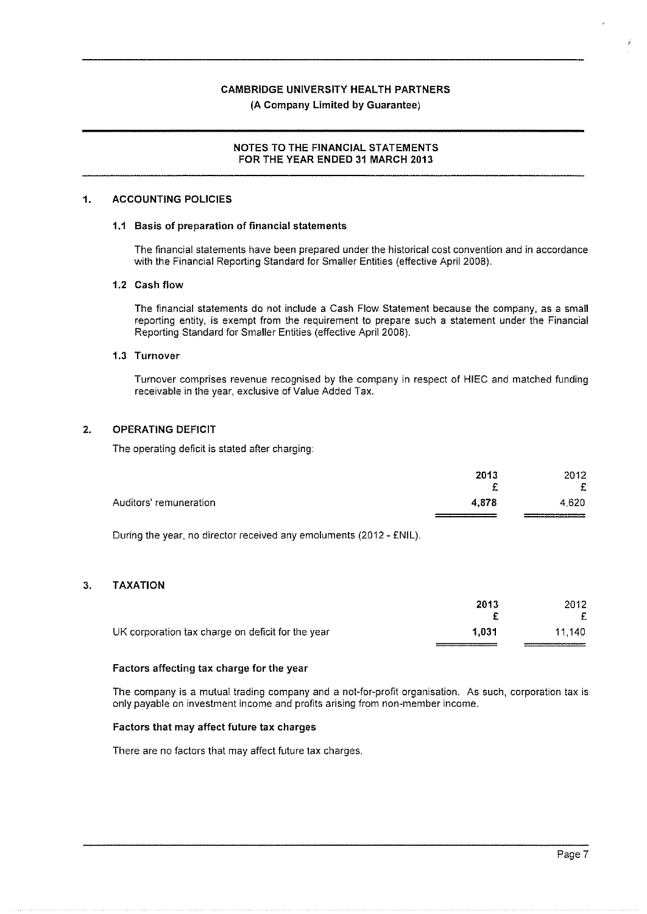## NOTES TO THE FINANCIAL STATEMENTS FOR THE YEAR ENDED 31 MARCH 2013

## 1. ACCOUNTING POLICIES

### 1.1 Basis of preparation of financial statements

The financial statements have been prepared under the historical cost convention and in accordance with the Financial Reporting Standard for Smaller Entities (effective April 2008).

## L2 Cash flow

The financial statements do not include a Cash Flow Statement because the company, as a small reporting entity, is exempt from the requirement to prepare such a statement under the Financial Reporting Standard for Smaller Entities (effective April 2008).

## 1.3 Turnover

Turnover comprises revenue recognised by the company in respect of HIEC and matched funding receivable in the year, exclusive of Value Added Tax.

# 2. OPERATING DEFICIT

The operating deficit is stated after charging:

|                        | 2013  | 2012  |
|------------------------|-------|-------|
|                        | ¢     | t.    |
| Auditors' remuneration | 4.878 | 4.620 |
|                        |       |       |

During the year, no director received any emoluments (2012- £NIL).

# 3. TAXATION

|                                                   | 2013 | 2012   |
|---------------------------------------------------|------|--------|
|                                                   |      |        |
| UK corporation tax charge on deficit for the year | 1031 | 11.140 |
|                                                   |      |        |

#### Factors affecting tax charge for the year

The company is a mutual trading company and a not-for-profit organisation. As such, corporation tax is only payable on investment income and profits arising from non-member income.

#### Factors that may affect future tax charges

There are no factors that may affect future tax charges.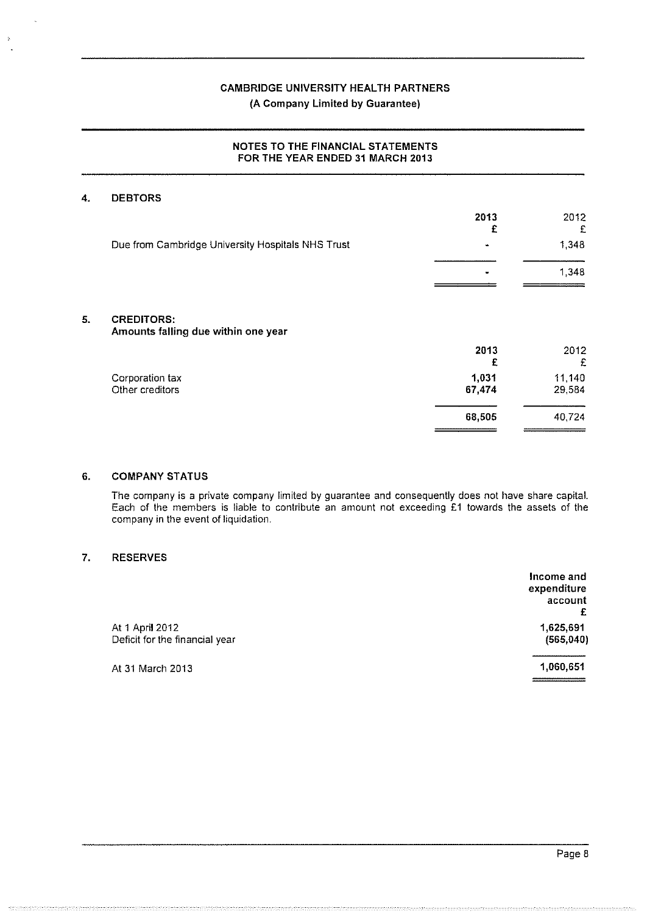# NOTES TO THE FINANCIAL STATEMENTS FOR THE YEAR ENDED 31 MARCH 2013

## 4. DEBTORS

 $\overline{\mathbf{z}}$ 

|    |                                                          | 2013<br>£       | 2012<br>£        |
|----|----------------------------------------------------------|-----------------|------------------|
|    | Due from Cambridge University Hospitals NHS Trust        |                 | 1,348            |
|    |                                                          |                 | 1,348            |
| 5. | <b>CREDITORS:</b><br>Amounts falling due within one year |                 |                  |
|    |                                                          | 2013<br>£       | 2012<br>£        |
|    | Corporation tax<br>Other creditors                       | 1,031<br>67,474 | 11,140<br>29,584 |
|    |                                                          | 68,505          | 40,724           |
|    |                                                          |                 |                  |

## 6. COMPANY STATUS

The company is a private company limited by guarantee and consequently does not have share capital. Each of the members is liable to contribute an amount not exceeding LI towards the assets of the company in the event of liquidation.

# 7. RESERVES

|                                                   | Income and<br>expenditure<br>account<br>£ |
|---------------------------------------------------|-------------------------------------------|
| At 1 April 2012<br>Deficit for the financial year | 1,625,691<br>(565,040)                    |
| At 31 March 2013                                  | 1,060,651                                 |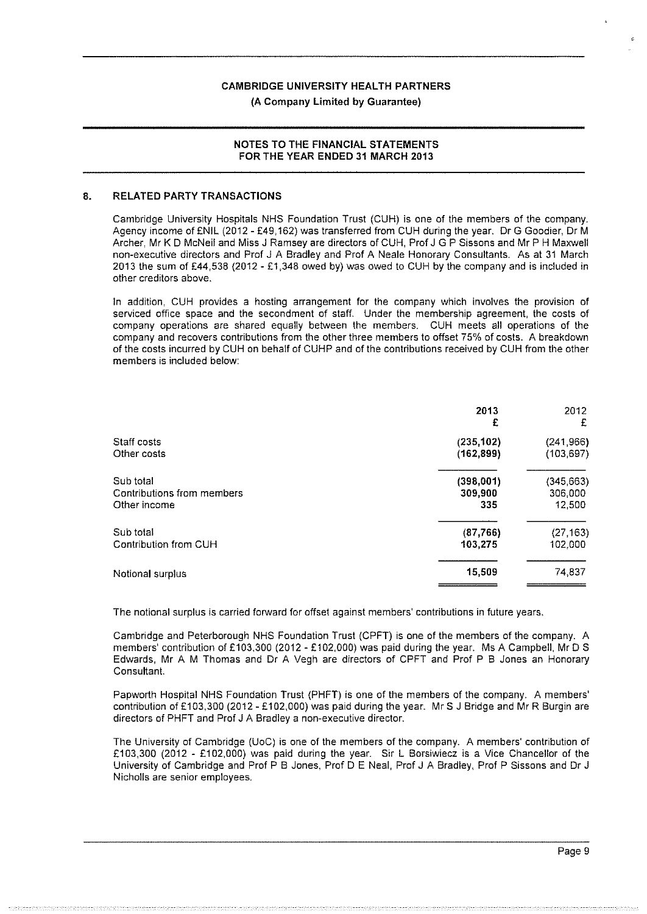(A Company Limited by Guarantee)

#### NOTES TO THE FINANCIAL STATEMENTS FOR THE YEAR ENDED 31 MARCH 2013

## 8. RELATED PARTY TRANSACTIONS

Cambridge University Hospitals NHS Foundation Trust (CUH) is one of the members of the company. Agency income of £NIL (2012- £49,162) was transferred from CUH during the year. Dr G Goodier, Dr <sup>M</sup> Archer, Mr K D McNeil and Miss J Ramsey are directors of CUH, Prof J G P Sissons and Mr P H Maxwell non-executive directors and Prof J A Bradley and Prof A Neale Honorary Consultants, As at 31 March 2013 the sum of £44,538 (2012 - £1,348 owed by) was owed to CUH by the company and is included in other creditors above.

In addition, CUH provides a hosting arrangement for the company which involves the provision of serviced office space and the secondment of staff. Under the membership agreement, the costs of company operations are shared equally between the members. CUH meets all operations of the company and recovers contributions from the other three members to offset 75% of costs. A breakdown of the costs incurred by CUH on behalf of CUHP and of the contributions received by CUH from the other members is included below:

|                            | 2013<br>£  | 2012<br>£  |
|----------------------------|------------|------------|
| Staff costs                | (235, 102) | (241, 966) |
| Other costs                | (162, 899) | (103, 697) |
| Sub total                  | (398, 001) | (345, 663) |
| Contributions from members | 309,900    | 306,000    |
| Other income               | 335        | 12.500     |
| Sub total                  | (87, 766)  | (27, 163)  |
| Contribution from CUH      | 103,275    | 102,000    |
| Notional surplus           | 15,509     | 74,837     |

The notional surplus is carried forward for offset against members' contributions in future years,

Cambridge and Peterborough NHS Foundation Trust (CPFT) is one of the members of the company. A members' contribution of £103,300 (2012 -£102,000) was paid during the year. Ms A Campbell, Mr D S Edwards, Mr <sup>A</sup> <sup>M</sup> Thomas and Dr <sup>A</sup> Vegh are directors of CPFT and Prof P <sup>B</sup> Jones an Honorary Consultant.

Papwofth Hospital NHS Foundation Trust (PHFT) is one of the members of the company. <sup>A</sup> members' contribution of £103,300 (2012 - £102,000) was paid during the year. Mr S J Bridge and Mr R Burgin are directors of PHFT and Prof J A Bradley a non-executive director.

The University of Cambridge (UoC) is one of the members of the company. A members' contribution of £103,300 (2012 - £102,000) was paid during the year. Sir <sup>L</sup> Borsiwiecz is a Vice Chancellor of the University of Cambridge and Prof P <sup>B</sup> Jones, Prof D E Neal, Prof J A Bradley, Prof P Sissons and Dr J Nicholls are senior employees.